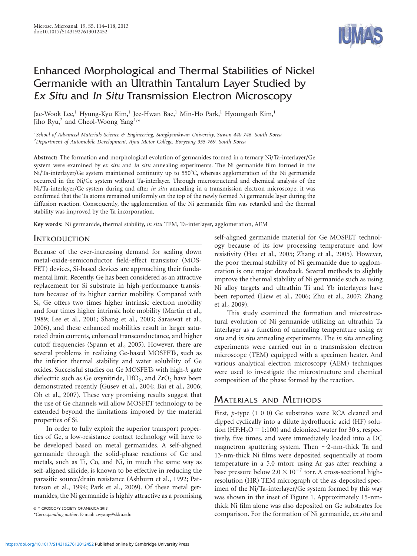

# Enhanced Morphological and Thermal Stabilities of Nickel Germanide with an Ultrathin Tantalum Layer Studied by Ex Situ and In Situ Transmission Electron Microscopy

Jae-Wook Lee,<sup>1</sup> Hyung-Kyu Kim,<sup>1</sup> Jee-Hwan Bae,<sup>1</sup> Min-Ho Park,<sup>1</sup> Hyoungsub Kim,<sup>1</sup> Jiho Ryu,<sup>2</sup> and Cheol-Woong Yang<sup>1,\*</sup>

*1 School of Advanced Materials Science & Engineering, Sungkyunkwan University, Suwon 440-746, South Korea 2 Department of Automobile Development, Ajou Motor College, Boryeong 355-769, South Korea*

**Abstract:** The formation and morphological evolution of germanides formed in a ternary Ni/Ta-interlayer/Ge system were examined by *ex situ* and *in situ* annealing experiments. The Ni germanide film formed in the Ni/Ta-interlayer/Ge system maintained continuity up to 550°C, whereas agglomeration of the Ni germanide occurred in the Ni/Ge system without Ta-interlayer. Through microstructural and chemical analysis of the Ni/Ta-interlayer/Ge system during and after *in situ* annealing in a transmission electron microscope, it was confirmed that the Ta atoms remained uniformly on the top of the newly formed Ni germanide layer during the diffusion reaction. Consequently, the agglomeration of the Ni germanide film was retarded and the thermal stability was improved by the Ta incorporation.

**Key words:** Ni germanide, thermal stability, *in situ* TEM, Ta-interlayer, agglomeration, AEM

### INTRODUCTION

Because of the ever-increasing demand for scaling down metal-oxide-semiconductor field-effect transistor (MOS-FET) devices, Si-based devices are approaching their fundamental limit. Recently, Ge has been considered as an attractive replacement for Si substrate in high-performance transistors because of its higher carrier mobility. Compared with Si, Ge offers two times higher intrinsic electron mobility and four times higher intrinsic hole mobility (Martin et al., 1989; Lee et al., 2001; Shang et al., 2003; Saraswat et al., 2006), and these enhanced mobilities result in larger saturated drain currents, enhanced transconductance, and higher cutoff frequencies (Spann et al., 2005). However, there are several problems in realizing Ge-based MOSFETs, such as the inferior thermal stability and water solubility of Ge oxides. Successful studies on Ge MOSFETs with high-*k* gate dielectric such as Ge oxynitride,  $HfO<sub>2</sub>$ , and  $ZrO<sub>2</sub>$  have been demonstrated recently (Gusev et al., 2004; Bai et al., 2006; Oh et al., 2007). These very promising results suggest that the use of Ge channels will allow MOSFET technology to be extended beyond the limitations imposed by the material properties of Si.

In order to fully exploit the superior transport properties of Ge, a low-resistance contact technology will have to be developed based on metal germanides. A self-aligned germanide through the solid-phase reactions of Ge and metals, such as Ti, Co, and Ni, in much the same way as self-aligned silicide, is known to be effective in reducing the parasitic source/drain resistance (Ashburn et al., 1992; Patterson et al., 1994; Park et al., 2009). Of these metal germanides, the Ni germanide is highly attractive as a promising

\**Corresponding author*. E-mail: cwyang@skku.edu

self-aligned germanide material for Ge MOSFET technology because of its low processing temperature and low resistivity (Hsu et al., 2005; Zhang et al., 2005). However, the poor thermal stability of Ni germanide due to agglomeration is one major drawback. Several methods to slightly improve the thermal stability of Ni germanide such as using Ni alloy targets and ultrathin Ti and Yb interlayers have been reported (Liew et al., 2006; Zhu et al., 2007; Zhang et al., 2009).

This study examined the formation and microstructural evolution of Ni germanide utilizing an ultrathin Ta interlayer as a function of annealing temperature using *ex situ* and *in situ* annealing experiments. The *in situ* annealing experiments were carried out in a transmission electron microscope (TEM) equipped with a specimen heater. And various analytical electron microscopy (AEM) techniques were used to investigate the microstructure and chemical composition of the phase formed by the reaction.

## MATERIALS AND METHODS

First, *p*-type (1 0 0) Ge substrates were RCA cleaned and dipped cyclically into a dilute hydrofluoric acid (HF) solution (HF: $H_2O = 1:100$ ) and deionized water for 30 s, respectively, five times, and were immediately loaded into a DC magnetron sputtering system. Then  $\sim$ 2-nm-thick Ta and 13-nm-thick Ni films were deposited sequentially at room temperature in a 5.0 mtorr using Ar gas after reaching a base pressure below 2.0  $\times$  10<sup>-7</sup> torr. A cross-sectional highresolution (HR) TEM micrograph of the as-deposited specimen of the Ni/Ta-interlayer/Ge system formed by this way was shown in the inset of Figure 1. Approximately 15-nmthick Ni film alone was also deposited on Ge substrates for comparison. For the formation of Ni germanide, *ex situ* and © MICROSCOPY SOCIETY OF AMERICA 2013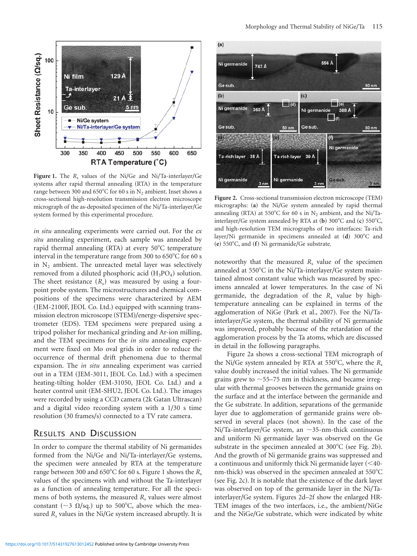

Figure 1. The *R*<sub>s</sub> values of the Ni/Ge and Ni/Ta-interlayer/Ge systems after rapid thermal annealing (RTA) in the temperature range between 300 and 650°C for 60 s in  $N_2$  ambient. Inset shows a cross-sectional high-resolution transmission electron microscope micrograph of the as-deposited specimen of the Ni/Ta-interlayer/Ge system formed by this experimental procedure.

*in situ* annealing experiments were carried out. For the *ex situ* annealing experiment, each sample was annealed by rapid thermal annealing  $(RTA)$  at every  $50^{\circ}$ C temperature interval in the temperature range from 300 to  $650^{\circ}$ C for 60 s in  $N_2$  ambient. The unreacted metal layer was selectively removed from a diluted phosphoric acid  $(H_3PO_4)$  solution. The sheet resistance  $(R_s)$  was measured by using a fourpoint probe system. The microstructures and chemical compositions of the specimens were characterized by AEM (JEM-2100F, JEOL Co. Ltd.) equipped with scanning transmission electron microscope (STEM)/energy-dispersive spectrometer (EDS). TEM specimens were prepared using a tripod polisher for mechanical grinding and Ar-ion milling, and the TEM specimens for the *in situ* annealing experiment were fixed on Mo oval grids in order to reduce the occurrence of thermal drift phenomena due to thermal expansion. The *in situ* annealing experiment was carried out in a TEM (JEM-3011, JEOL Co. Ltd.) with a specimen heating-tilting holder (EM-31050, JEOL Co. Ltd.) and a heater control unit (EM-SHU2, JEOL Co. Ltd.). The images were recorded by using a CCD camera (2k Gatan Ultrascan) and a digital video recording system with a 1/30 s time resolution  $(30$  frames/s) connected to a TV rate camera.

#### RESULTS AND DISCUSSION

In order to compare the thermal stability of Ni germanides formed from the Ni/Ge and Ni/Ta-interlayer/Ge systems, the specimen were annealed by RTA at the temperature range between 300 and  $650^{\circ}$ C for 60 s. Figure 1 shows the  $R_s$ values of the specimens with and without the Ta-interlayer as a function of annealing temperature. For all the specimens of both systems, the measured  $R_s$  values were almost constant ( $\sim$ 3  $\Omega$ /sq.) up to 500°C, above which the measured  $R_s$  values in the Ni/Ge system increased abruptly. It is



**Figure 2.** Cross-sectional transmission electron microscope (TEM) micrographs: (a) the Ni/Ge system annealed by rapid thermal annealing (RTA) at 550°C for 60 s in N<sub>2</sub> ambient, and the Ni/Tainterlayer/Ge system annealed by RTA at (b) 300°C and (c) 550°C, and high-resolution TEM micrographs of two interfaces: Ta-rich layer/Ni germanide in specimens annealed at (d) 300°C and (e) 550°C, and (f) Ni germanide/Ge substrate.

noteworthy that the measured  $R_s$  value of the specimen annealed at  $550^{\circ}$ C in the Ni/Ta-interlayer/Ge system maintained almost constant value which was measured by specimens annealed at lower temperatures. In the case of Ni germanide, the degradation of the  $R_s$  value by hightemperature annealing can be explained in terms of the agglomeration of NiGe (Park et al., 2007). For the Ni/Tainterlayer/Ge system, the thermal stability of Ni germanide was improved, probably because of the retardation of the agglomeration process by the Ta atoms, which are discussed in detail in the following paragraphs.

Figure 2a shows a cross-sectional TEM micrograph of the Ni/Ge system annealed by RTA at 550°C, where the  $R_s$ value doubly increased the initial values. The Ni germanide grains grew to  $\sim$ 55–75 nm in thickness, and became irregular with thermal grooves between the germanide grains on the surface and at the interface between the germanide and the Ge substrate. In addition, separations of the germanide layer due to agglomeration of germanide grains were observed in several places (not shown). In the case of the Ni/Ta-interlayer/Ge system, an  $\sim$ 35-nm-thick continuous and uniform Ni germanide layer was observed on the Ge substrate in the specimen annealed at  $300^{\circ}$ C (see Fig. 2b). And the growth of Ni germanide grains was suppressed and a continuous and uniformly thick Ni germanide layer  $(<$  40nm-thick) was observed in the specimen annealed at  $550^{\circ}$ C (see Fig. 2c). It is notable that the existence of the dark layer was observed on top of the germanide layer in the Ni/Tainterlayer/Ge system. Figures 2d–2f show the enlarged HR-TEM images of the two interfaces, i.e., the ambient/NiGe and the NiGe/Ge substrate, which were indicated by white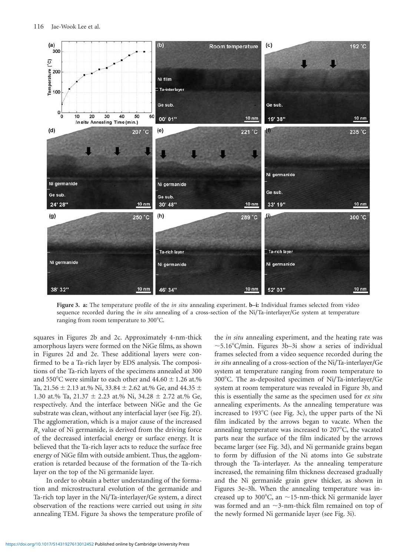

**Figure 3. a:** The temperature profile of the *in situ* annealing experiment. **b–i:** Individual frames selected from video sequence recorded during the *in situ* annealing of a cross-section of the Ni/Ta-interlayer/Ge system at temperature ranging from room temperature to 300°C.

squares in Figures 2b and 2c. Approximately 4-nm-thick amorphous layers were formed on the NiGe films, as shown in Figures 2d and 2e. These additional layers were confirmed to be a Ta-rich layer by EDS analysis. The compositions of the Ta-rich layers of the specimens annealed at 300 and 550°C were similar to each other and 44.60  $\pm$  1.26 at.% Ta, 21.56  $\pm$  2.13 at.% Ni, 33.84  $\pm$  2.62 at.% Ge, and 44.35  $\pm$ 1.30 at.% Ta,  $21.37 \pm 2.23$  at.% Ni,  $34.28 \pm 2.72$  at.% Ge, respectively. And the interface between NiGe and the Ge substrate was clean, without any interfacial layer (see Fig. 2f). The agglomeration, which is a major cause of the increased *R*<sup>s</sup> value of Ni germanide, is derived from the driving force of the decreased interfacial energy or surface energy. It is believed that the Ta-rich layer acts to reduce the surface free energy of NiGe film with outside ambient. Thus, the agglomeration is retarded because of the formation of the Ta-rich layer on the top of the Ni germanide layer.

In order to obtain a better understanding of the formation and microstructural evolution of the germanide and Ta-rich top layer in the Ni/Ta-interlayer/Ge system, a direct observation of the reactions were carried out using *in situ* annealing TEM. Figure 3a shows the temperature profile of the *in situ* annealing experiment, and the heating rate was  $\sim$  5.16°C/min. Figures 3b–3i show a series of individual frames selected from a video sequence recorded during the *in situ* annealing of a cross-section of the Ni/Ta-interlayer/Ge system at temperature ranging from room temperature to 3008C. The as-deposited specimen of Ni/Ta-interlayer/Ge system at room temperature was revealed in Figure 3b, and this is essentially the same as the specimen used for *ex situ* annealing experiments. As the annealing temperature was increased to  $193^{\circ}C$  (see Fig. 3c), the upper parts of the Ni film indicated by the arrows began to vacate. When the annealing temperature was increased to  $207^{\circ}$ C, the vacated parts near the surface of the film indicated by the arrows became larger (see Fig. 3d), and Ni germanide grains began to form by diffusion of the Ni atoms into Ge substrate through the Ta-interlayer. As the annealing temperature increased, the remaining film thickness decreased gradually and the Ni germanide grain grew thicker, as shown in Figures 3e–3h. When the annealing temperature was increased up to 300°C, an  $\sim$ 15-nm-thick Ni germanide layer was formed and an  $\sim$ 3-nm-thick film remained on top of the newly formed Ni germanide layer (see Fig. 3i).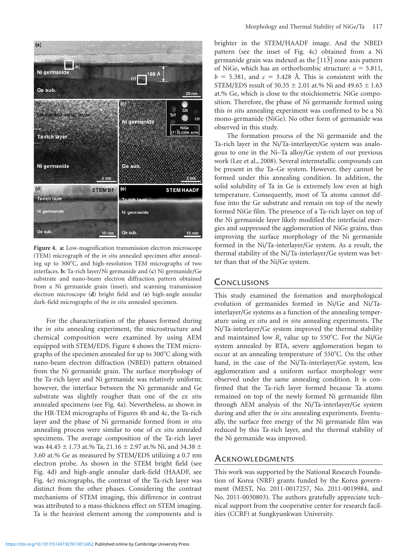

**Figure 4. a:** Low-magnification transmission electron microscope (TEM) micrograph of the *in situ* annealed specimen after annealing up to  $300^{\circ}$ C, and high-resolution TEM micrographs of two interfaces. **b:** Ta-rich layer/Ni germanide and (c) Ni germanide/Ge substrate and nano-beam electron diffraction pattern obtained from a Ni germanide grain (inset), and scanning transmission electron microscope (d) bright field and (e) high-angle annular dark-field micrographs of the *in situ* annealed specimen.

For the characterization of the phases formed during the *in situ* annealing experiment, the microstructure and chemical composition were examined by using AEM equipped with STEM/EDS. Figure 4 shows the TEM micrographs of the specimen annealed for up to  $300^{\circ}$ C along with nano-beam electron diffraction (NBED) pattern obtained from the Ni germanide grain. The surface morphology of the Ta-rich layer and Ni germanide was relatively uniform; however, the interface between the Ni germanide and Ge substrate was slightly rougher than one of the *ex situ* annealed specimens (see Fig. 4a). Nevertheless, as shown in the HR-TEM micrographs of Figures 4b and 4c, the Ta-rich layer and the phase of Ni germanide formed from *in situ* annealing process were similar to one of *ex situ* annealed specimens. The average composition of the Ta-rich layer was 44.45  $\pm$  1.73 at.% Ta, 21.16  $\pm$  2.97 at.% Ni, and 34.38  $\pm$ 3.60 at.% Ge as measured by STEM/EDS utilizing a 0.7 nm electron probe. As shown in the STEM bright field (see Fig. 4d) and high-angle annular dark-field (HAADF, see Fig. 4e) micrographs, the contrast of the Ta-rich layer was distinct from the other phases. Considering the contrast mechanisms of STEM imaging, this difference in contrast was attributed to a mass-thickness effect on STEM imaging. Ta is the heaviest element among the components and is brighter in the STEM/HAADF image. And the NBED pattern (see the inset of Fig. 4c) obtained from a Ni germanide grain was indexed as the  $[11\bar{3}]$  zone axis pattern of NiGe, which has an orthorhombic structure:  $a = 5.811$ ,  $b = 5.381$ , and  $c = 3.428$  Å. This is consistent with the STEM/EDS result of  $50.35 \pm 2.01$  at.% Ni and  $49.65 \pm 1.63$ at.% Ge, which is close to the stoichiometric NiGe composition. Therefore, the phase of Ni germanide formed using this *in situ* annealing experiment was confirmed to be a Ni mono-germanide (NiGe). No other form of germanide was observed in this study.

The formation process of the Ni germanide and the Ta-rich layer in the Ni/Ta-interlayer/Ge system was analogous to one in the Ni–Ta alloy/Ge system of our previous work (Lee et al., 2008). Several intermetallic compounds can be present in the Ta–Ge system. However, they cannot be formed under this annealing condition. In addition, the solid solubility of Ta in Ge is extremely low even at high temperature. Consequently, most of Ta atoms cannot diffuse into the Ge substrate and remain on top of the newly formed NiGe film. The presence of a Ta-rich layer on top of the Ni germanide layer likely modified the interfacial energies and suppressed the agglomeration of NiGe grains, thus improving the surface morphology of the Ni germanide formed in the Ni/Ta-interlayer/Ge system. As a result, the thermal stability of the Ni/Ta-interlayer/Ge system was better than that of the Ni/Ge system.

#### **CONCLUSIONS**

This study examined the formation and morphological evolution of germanides formed in Ni/Ge and Ni/Tainterlayer/Ge systems as a function of the annealing temperature using *ex situ* and *in situ* annealing experiments. The Ni/Ta-interlayer/Ge system improved the thermal stability and maintained low  $R_s$  value up to 550°C. For the Ni/Ge system annealed by RTA, severe agglomeration began to occur at an annealing temperature of 550°C. On the other hand, in the case of the Ni/Ta-interlayer/Ge system, less agglomeration and a uniform surface morphology were observed under the same annealing condition. It is confirmed that the Ta-rich layer formed because Ta atoms remained on top of the newly formed Ni germanide film through AEM analysis of the Ni/Ta-interlayer/Ge system during and after the *in situ* annealing experiments. Eventually, the surface free energy of the Ni germanide film was reduced by this Ta-rich layer, and the thermal stability of the Ni germanide was improved.

#### **ACKNOWLEDGMENTS**

This work was supported by the National Research Foundation of Korea (NRF) grants funded by the Korea government (MEST, No. 2011-0017257, No. 2011-0019984, and No. 2011-0030803). The authors gratefully appreciate technical support from the cooperative center for research facilities (CCRF) at Sungkyunkwan University.